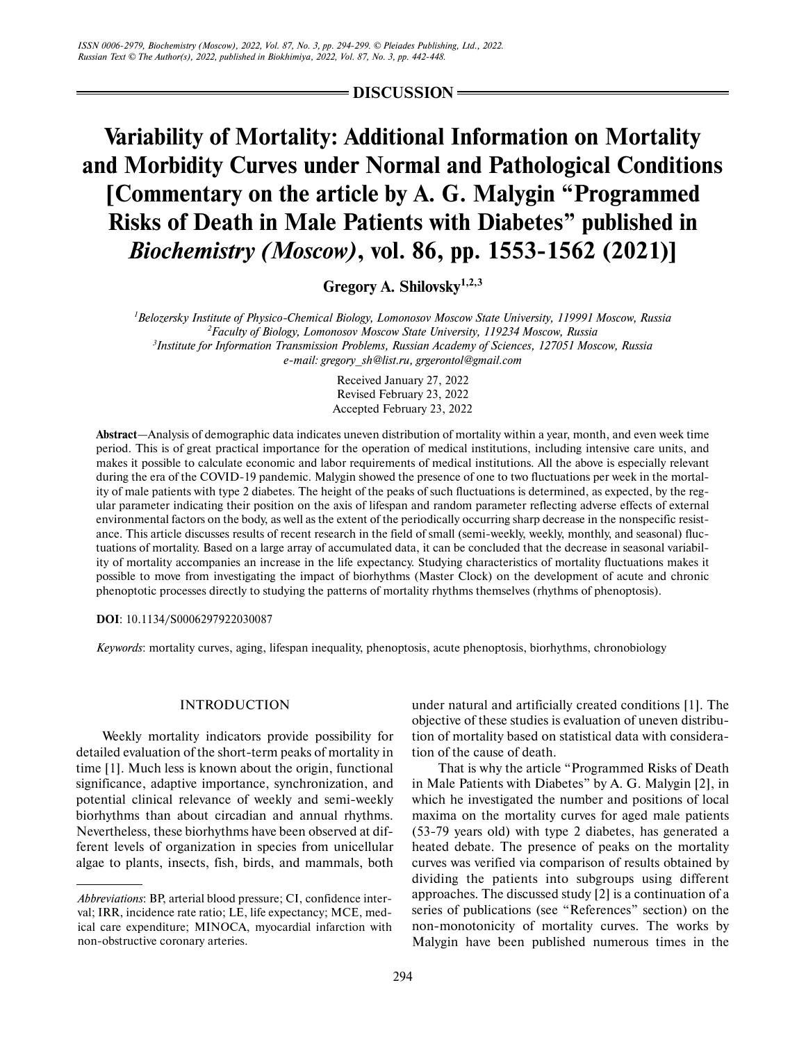**DISCUSSION**

# **Variability of Mortality: Additional Information on Mortality and Morbidity Curves under Normal and Pathological Conditions [Commentary on the article by A. G. Malygin "Programmed Risks of Death in Male Patients with Diabetes" published in** *Biochemistry (Moscow)***, vol. 86, pp. 1553-1562 (2021)]**

**Gregory A. Shilovsky1,2,3**

 *Belozersky Institute of Physico-Chemical Biology, Lomonosov Moscow State University, 119991 Moscow, Russia Faculty of Biology, Lomonosov Moscow State University, 119234 Moscow, Russia Institute for Information Transmission Problems, Russian Academy of Sciences, 127051 Moscow, Russia e-mail: gregory\_sh@list.ru, grgerontol@gmail.com*

> Received January 27, 2022 Revised February 23, 2022 Accepted February 23, 2022

**Abstract**—Analysis of demographic data indicates uneven distribution of mortality within a year, month, and even week time period. This is of great practical importance for the operation of medical institutions, including intensive care units, and makes it possible to calculate economic and labor requirements of medical institutions. All the above is especially relevant during the era of the COVID-19 pandemic. Malygin showed the presence of one to two fluctuations per week in the mortal ity of male patients with type 2 diabetes. The height of the peaks of such fluctuations is determined, as expected, by the reg ular parameter indicating their position on the axis of lifespan and random parameter reflecting adverse effects of external environmental factors on the body, as well as the extent of the periodically occurring sharp decrease in the nonspecific resist ance. This article discusses results of recent research in the field of small (semi-weekly, weekly, monthly, and seasonal) fluc tuations of mortality. Based on a large array of accumulated data, it can be concluded that the decrease in seasonal variabil ity of mortality accompanies an increase in the life expectancy. Studying characteristics of mortality fluctuations makes it possible to move from investigating the impact of biorhythms (Master Clock) on the development of acute and chronic phenoptotic processes directly to studying the patterns of mortality rhythms themselves (rhythms of phenoptosis).

**DOI**: 10.1134/S0006297922030087

*Keywords*: mortality curves, aging, lifespan inequality, phenoptosis, acute phenoptosis, biorhythms, chronobiology

## INTRODUCTION

Weekly mortality indicators provide possibility for detailed evaluation of the short-term peaks of mortality in time [1]. Much less is known about the origin, functional significance, adaptive importance, synchronization, and potential clinical relevance of weekly and semi-weekly biorhythms than about circadian and annual rhythms. Nevertheless, these biorhythms have been observed at dif ferent levels of organization in species from unicellular algae to plants, insects, fish, birds, and mammals, both under natural and artificially created conditions [1]. The objective of these studies is evaluation of uneven distribu tion of mortality based on statistical data with considera tion of the cause of death.

That is why the article "Programmed Risks of Death in Male Patients with Diabetes" by A. G. Malygin [2], in which he investigated the number and positions of local maxima on the mortality curves for aged male patients (53-79 years old) with type 2 diabetes, has generated a heated debate. The presence of peaks on the mortality curves was verified via comparison of results obtained by dividing the patients into subgroups using different approaches. The discussed study [2] is a continuation of a series of publications (see "References" section) on the non-monotonicity of mortality curves. The works by Malygin have been published numerous times in the

*Abbreviations*: BP, arterial blood pressure; CI, confidence inter val; IRR, incidence rate ratio; LE, life expectancy; MCE, med ical care expenditure; MINOCA, myocardial infarction with non-obstructive coronary arteries.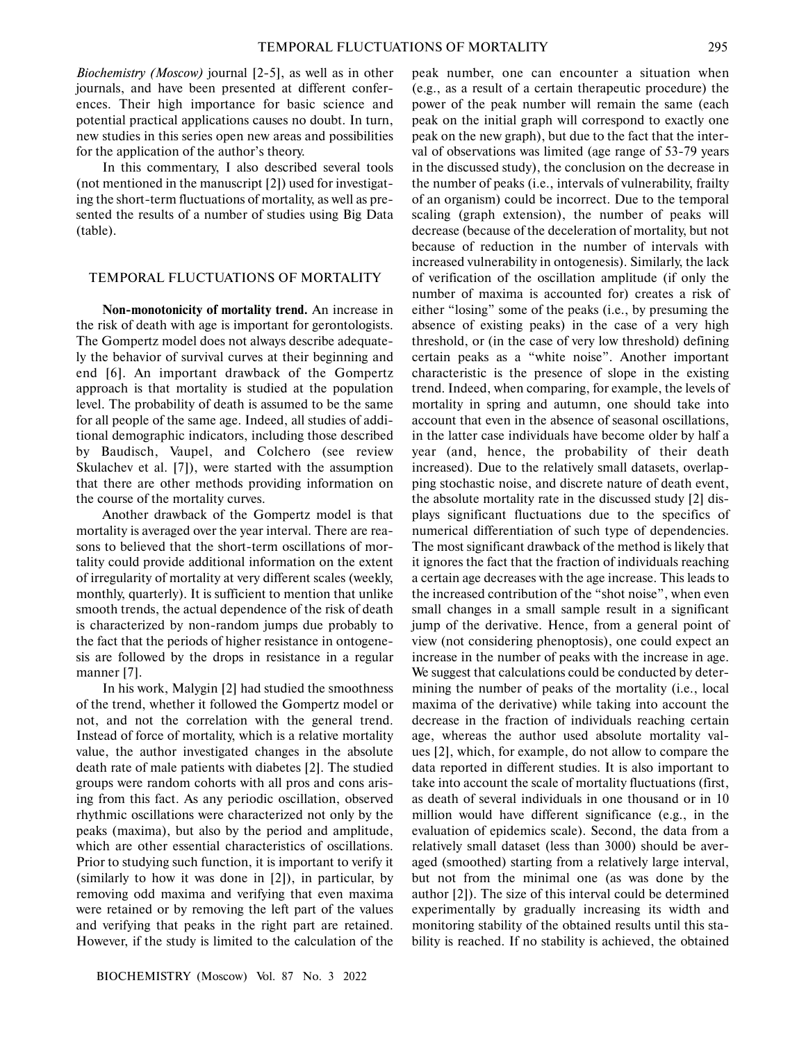*Biochemistry (Moscow)* journal [2-5], as well as in other journals, and have been presented at different confer ences. Their high importance for basic science and potential practical applications causes no doubt. In turn, new studies in this series open new areas and possibilities for the application of the author's theory.

In this commentary, I also described several tools (not mentioned in the manuscript [2]) used for investigat ing the short-term fluctuations of mortality, as well as pre sented the results of a number of studies using Big Data (table).

#### TEMPORAL FLUCTUATIONS OF MORTALITY

**Non-monotonicity of mortality trend.** An increase in the risk of death with age is important for gerontologists. The Gompertz model does not always describe adequate ly the behavior of survival curves at their beginning and end [6]. An important drawback of the Gompertz approach is that mortality is studied at the population level. The probability of death is assumed to be the same for all people of the same age. Indeed, all studies of addi tional demographic indicators, including those described by Baudisch, Vaupel, and Colchero (see review Skulachev et al. [7]), were started with the assumption that there are other methods providing information on the course of the mortality curves.

Another drawback of the Gompertz model is that mortality is averaged over the year interval. There are rea sons to believed that the short-term oscillations of mor tality could provide additional information on the extent of irregularity of mortality at very different scales (weekly, monthly, quarterly). It is sufficient to mention that unlike smooth trends, the actual dependence of the risk of death is characterized by non-random jumps due probably to the fact that the periods of higher resistance in ontogene sis are followed by the drops in resistance in a regular manner [7].

In his work, Malygin [2] had studied the smoothness of the trend, whether it followed the Gompertz model or not, and not the correlation with the general trend. Instead of force of mortality, which is a relative mortality value, the author investigated changes in the absolute death rate of male patients with diabetes [2]. The studied groups were random cohorts with all pros and cons aris ing from this fact. As any periodic oscillation, observed rhythmic oscillations were characterized not only by the peaks (maxima), but also by the period and amplitude, which are other essential characteristics of oscillations. Prior to studying such function, it is important to verify it (similarly to how it was done in [2]), in particular, by removing odd maxima and verifying that even maxima were retained or by removing the left part of the values and verifying that peaks in the right part are retained. However, if the study is limited to the calculation of the

peak number, one can encounter a situation when (e.g., as a result of a certain therapeutic procedure) the power of the peak number will remain the same (each peak on the initial graph will correspond to exactly one peak on the new graph), but due to the fact that the inter val of observations was limited (age range of 53-79 years in the discussed study), the conclusion on the decrease in the number of peaks (i.e., intervals of vulnerability, frailty of an organism) could be incorrect. Due to the temporal scaling (graph extension), the number of peaks will decrease (because of the deceleration of mortality, but not because of reduction in the number of intervals with increased vulnerability in ontogenesis). Similarly, the lack of verification of the oscillation amplitude (if only the number of maxima is accounted for) creates a risk of either "losing" some of the peaks (i.e., by presuming the absence of existing peaks) in the case of a very high threshold, or (in the case of very low threshold) defining certain peaks as a "white noise". Another important characteristic is the presence of slope in the existing trend. Indeed, when comparing, for example, the levels of mortality in spring and autumn, one should take into account that even in the absence of seasonal oscillations, in the latter case individuals have become older by half a year (and, hence, the probability of their death increased). Due to the relatively small datasets, overlap ping stochastic noise, and discrete nature of death event, the absolute mortality rate in the discussed study [2] dis plays significant fluctuations due to the specifics of numerical differentiation of such type of dependencies. The most significant drawback of the method is likely that it ignores the fact that the fraction of individuals reaching a certain age decreases with the age increase. This leads to the increased contribution of the "shot noise", when even small changes in a small sample result in a significant jump of the derivative. Hence, from a general point of view (not considering phenoptosis), one could expect an increase in the number of peaks with the increase in age. We suggest that calculations could be conducted by deter mining the number of peaks of the mortality (i.e., local maxima of the derivative) while taking into account the decrease in the fraction of individuals reaching certain age, whereas the author used absolute mortality val ues [2], which, for example, do not allow to compare the data reported in different studies. It is also important to take into account the scale of mortality fluctuations (first, as death of several individuals in one thousand or in 10 million would have different significance (e.g., in the evaluation of epidemics scale). Second, the data from a relatively small dataset (less than 3000) should be aver aged (smoothed) starting from a relatively large interval, but not from the minimal one (as was done by the author [2]). The size of this interval could be determined experimentally by gradually increasing its width and monitoring stability of the obtained results until this sta bility is reached. If no stability is achieved, the obtained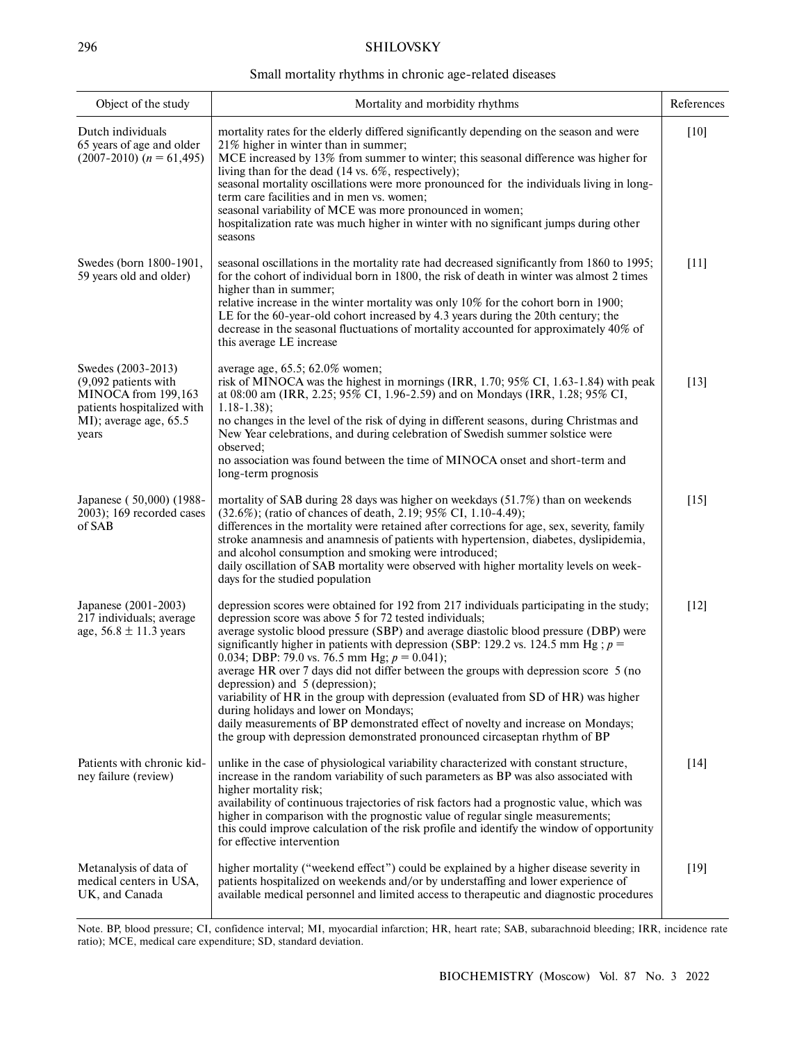# 296 SHILOVSKY

### Small mortality rhythms in chronic age-related diseases

| Object of the study                                                                                                                  | Mortality and morbidity rhythms                                                                                                                                                                                                                                                                                                                                                                                                                                                                                                                                                                                                                                                                                                                                                                                    | References |
|--------------------------------------------------------------------------------------------------------------------------------------|--------------------------------------------------------------------------------------------------------------------------------------------------------------------------------------------------------------------------------------------------------------------------------------------------------------------------------------------------------------------------------------------------------------------------------------------------------------------------------------------------------------------------------------------------------------------------------------------------------------------------------------------------------------------------------------------------------------------------------------------------------------------------------------------------------------------|------------|
| Dutch individuals<br>65 years of age and older<br>$(2007-2010)$ $(n = 61,495)$                                                       | mortality rates for the elderly differed significantly depending on the season and were<br>21% higher in winter than in summer;<br>MCE increased by 13% from summer to winter; this seasonal difference was higher for<br>living than for the dead (14 vs. 6%, respectively);<br>seasonal mortality oscillations were more pronounced for the individuals living in long-<br>term care facilities and in men vs. women;<br>seasonal variability of MCE was more pronounced in women;<br>hospitalization rate was much higher in winter with no significant jumps during other<br>seasons                                                                                                                                                                                                                           | $[10]$     |
| Swedes (born 1800-1901,<br>59 years old and older)                                                                                   | seasonal oscillations in the mortality rate had decreased significantly from 1860 to 1995;<br>for the cohort of individual born in 1800, the risk of death in winter was almost 2 times<br>higher than in summer;<br>relative increase in the winter mortality was only 10% for the cohort born in 1900;<br>LE for the 60-year-old cohort increased by 4.3 years during the 20th century; the<br>decrease in the seasonal fluctuations of mortality accounted for approximately 40% of<br>this average LE increase                                                                                                                                                                                                                                                                                                 | $[11]$     |
| Swedes (2003-2013)<br>$(9,092$ patients with<br>MINOCA from 199,163<br>patients hospitalized with<br>MI); average age, 65.5<br>years | average age, 65.5; 62.0% women;<br>risk of MINOCA was the highest in mornings (IRR, $1.70$ ; $95\%$ CI, $1.63-1.84$ ) with peak<br>at 08:00 am (IRR, 2.25; 95% CI, 1.96-2.59) and on Mondays (IRR, 1.28; 95% CI,<br>$1.18 - 1.38$ :<br>no changes in the level of the risk of dying in different seasons, during Christmas and<br>New Year celebrations, and during celebration of Swedish summer solstice were<br>observed:<br>no association was found between the time of MINOCA onset and short-term and<br>long-term prognosis                                                                                                                                                                                                                                                                                | $[13]$     |
| Japanese (50,000) (1988-<br>$2003$ ; 169 recorded cases<br>of SAB                                                                    | mortality of SAB during 28 days was higher on weekdays (51.7%) than on weekends<br>(32.6%); (ratio of chances of death, 2.19; 95% CI, 1.10-4.49);<br>differences in the mortality were retained after corrections for age, sex, severity, family<br>stroke anamnesis and anamnesis of patients with hypertension, diabetes, dyslipidemia,<br>and alcohol consumption and smoking were introduced;<br>daily oscillation of SAB mortality were observed with higher mortality levels on week-<br>days for the studied population                                                                                                                                                                                                                                                                                     | $[15]$     |
| Japanese (2001-2003)<br>217 individuals; average<br>age, $56.8 \pm 11.3$ years                                                       | depression scores were obtained for 192 from 217 individuals participating in the study;<br>depression score was above 5 for 72 tested individuals;<br>average systolic blood pressure (SBP) and average diastolic blood pressure (DBP) were<br>significantly higher in patients with depression (SBP: 129.2 vs. 124.5 mm Hg; $p =$<br>0.034; DBP: 79.0 vs. 76.5 mm Hg; $p = 0.041$ ;<br>average HR over 7 days did not differ between the groups with depression score 5 (no<br>depression) and 5 (depression);<br>variability of HR in the group with depression (evaluated from SD of HR) was higher<br>during holidays and lower on Mondays;<br>daily measurements of BP demonstrated effect of novelty and increase on Mondays;<br>the group with depression demonstrated pronounced circaseptan rhythm of BP | $[12]$     |
| Patients with chronic kid-<br>ney failure (review)                                                                                   | unlike in the case of physiological variability characterized with constant structure,<br>increase in the random variability of such parameters as BP was also associated with<br>higher mortality risk;<br>availability of continuous trajectories of risk factors had a prognostic value, which was<br>higher in comparison with the prognostic value of regular single measurements;<br>this could improve calculation of the risk profile and identify the window of opportunity<br>for effective intervention                                                                                                                                                                                                                                                                                                 | $[14]$     |
| Metanalysis of data of<br>medical centers in USA,<br>UK, and Canada                                                                  | higher mortality ("weekend effect") could be explained by a higher disease severity in<br>patients hospitalized on weekends and/or by understaffing and lower experience of<br>available medical personnel and limited access to therapeutic and diagnostic procedures                                                                                                                                                                                                                                                                                                                                                                                                                                                                                                                                             | $[19]$     |

Note. BP, blood pressure; CI, confidence interval; MI, myocardial infarction; HR, heart rate; SAB, subarachnoid bleeding; IRR, incidence rate ratio); MCE, medical care expenditure; SD, standard deviation.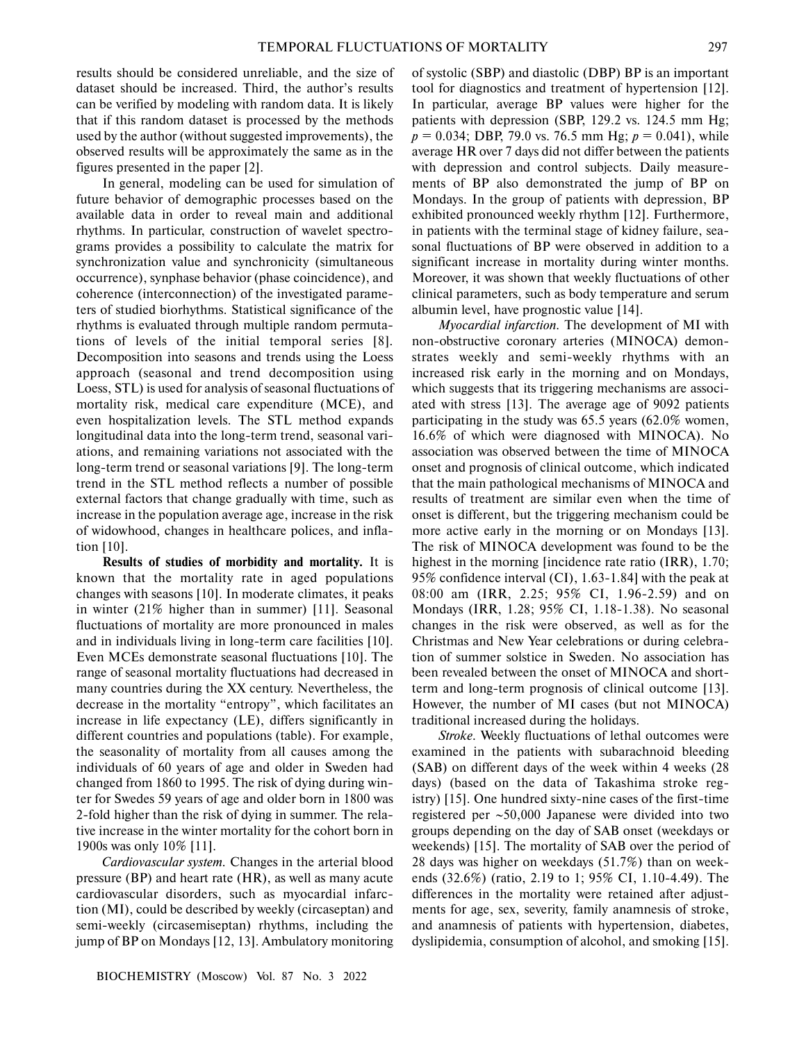results should be considered unreliable, and the size of dataset should be increased. Third, the author's results can be verified by modeling with random data. It is likely that if this random dataset is processed by the methods used by the author (without suggested improvements), the observed results will be approximately the same as in the figures presented in the paper [2].

In general, modeling can be used for simulation of future behavior of demographic processes based on the available data in order to reveal main and additional rhythms. In particular, construction of wavelet spectro grams provides a possibility to calculate the matrix for synchronization value and synchronicity (simultaneous occurrence), synphase behavior (phase coincidence), and coherence (interconnection) of the investigated parame ters of studied biorhythms. Statistical significance of the rhythms is evaluated through multiple random permuta tions of levels of the initial temporal series [8]*.* Decomposition into seasons and trends using the Loess approach (seasonal and trend decomposition using Loess, STL) is used for analysis of seasonal fluctuations of mortality risk, medical care expenditure (MCE), and even hospitalization levels. The STL method expands longitudinal data into the long-term trend, seasonal vari ations, and remaining variations not associated with the long-term trend or seasonal variations [9]. The long-term trend in the STL method reflects a number of possible external factors that change gradually with time, such as increase in the population average age, increase in the risk of widowhood, changes in healthcare polices, and infla tion [10].

**Results of studies of morbidity and mortality.** It is known that the mortality rate in aged populations changes with seasons [10]. In moderate climates, it peaks in winter (21% higher than in summer) [11]. Seasonal fluctuations of mortality are more pronounced in males and in individuals living in long-term care facilities [10]. Even MCEs demonstrate seasonal fluctuations [10]. The range of seasonal mortality fluctuations had decreased in many countries during the ХХ century. Nevertheless, the decrease in the mortality "entropy", which facilitates an increase in life expectancy (LE), differs significantly in different countries and populations (table). For example, the seasonality of mortality from all causes among the individuals of 60 years of age and older in Sweden had changed from 1860 to 1995. The risk of dying during win ter for Swedes 59 years of age and older born in 1800 was 2-fold higher than the risk of dying in summer. The rela tive increase in the winter mortality for the cohort born in 1900s was only 10% [11].

*Cardiovascular system.* Changes in the arterial blood pressure (BP) and heart rate (HR), as well as many acute cardiovascular disorders, such as myocardial infarc tion (MI), could be described by weekly (circaseptan) and semi-weekly (circasemiseptan) rhythms, including the jump of BP on Mondays [12, 13]. Ambulatory monitoring of systolic (SBP) and diastolic (DBP) BP is an important tool for diagnostics and treatment of hypertension [12]. In particular, average BP values were higher for the patients with depression (SBP, 129.2 vs. 124.5 mm Hg; *p* = 0.034; DBP, 79.0 vs. 76.5 mm Hg; *p* = 0.041), while average HR over 7 days did not differ between the patients with depression and control subjects. Daily measure ments of BP also demonstrated the jump of BP on Mondays. In the group of patients with depression, BP exhibited pronounced weekly rhythm [12]. Furthermore, in patients with the terminal stage of kidney failure, sea sonal fluctuations of BP were observed in addition to a significant increase in mortality during winter months. Moreover, it was shown that weekly fluctuations of other clinical parameters, such as body temperature and serum albumin level, have prognostic value [14].

*Myocardial infarction.* The development of MI with non-obstructive coronary arteries (MINOCA) demon strates weekly and semi-weekly rhythms with an increased risk early in the morning and on Mondays, which suggests that its triggering mechanisms are associ ated with stress [13]. The average age of 9092 patients participating in the study was 65.5 years (62.0% women, 16.6% of which were diagnosed with MINOCA). No association was observed between the time of MINOCA onset and prognosis of clinical outcome, which indicated that the main pathological mechanisms of MINOCA and results of treatment are similar even when the time of onset is different, but the triggering mechanism could be more active early in the morning or on Mondays [13]. The risk of MINOCA development was found to be the highest in the morning [incidence rate ratio (IRR), 1.70; 95% confidence interval (CI), 1.63-1.84] with the peak at 08:00 am (IRR, 2.25; 95% CI, 1.96-2.59) and on Mondays (IRR, 1.28; 95% CI, 1.18-1.38). No seasonal changes in the risk were observed, as well as for the Christmas and New Year celebrations or during celebra tion of summer solstice in Sweden. No association has been revealed between the onset of MINOCA and short term and long-term prognosis of clinical outcome [13]. However, the number of MI cases (but not MINOCA) traditional increased during the holidays.

*Stroke.* Weekly fluctuations of lethal outcomes were examined in the patients with subarachnoid bleeding (SAB) on different days of the week within 4 weeks (28 days) (based on the data of Takashima stroke reg istry) [15]. One hundred sixty-nine cases of the first-time registered per ∼50,000 Japanese were divided into two groups depending on the day of SAB onset (weekdays or weekends) [15]. The mortality of SAB over the period of 28 days was higher on weekdays (51.7%) than on week ends (32.6%) (ratio, 2.19 to 1; 95% CI, 1.10-4.49). The differences in the mortality were retained after adjust ments for age, sex, severity, family anamnesis of stroke, and anamnesis of patients with hypertension, diabetes, dyslipidemia, consumption of alcohol, and smoking [15].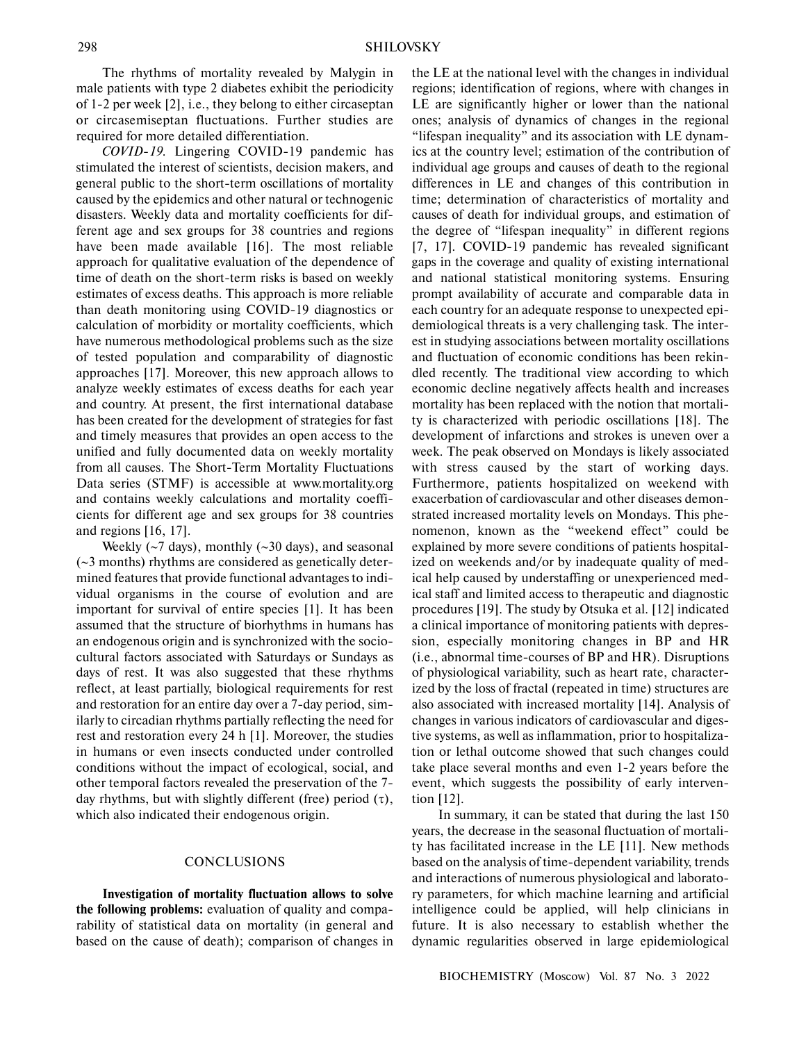The rhythms of mortality revealed by Malygin in male patients with type 2 diabetes exhibit the periodicity of 1-2 per week [2], i.e., they belong to either circaseptan or circasemiseptan fluctuations. Further studies are required for more detailed differentiation.

*COVID-19.* Lingering COVID-19 pandemic has stimulated the interest of scientists, decision makers, and general public to the short-term oscillations of mortality caused by the epidemics and other natural or technogenic disasters. Weekly data and mortality coefficients for dif ferent age and sex groups for 38 countries and regions have been made available [16]. The most reliable approach for qualitative evaluation of the dependence of time of death on the short-term risks is based on weekly estimates of excess deaths. This approach is more reliable than death monitoring using COVID-19 diagnostics or calculation of morbidity or mortality coefficients, which have numerous methodological problems such as the size of tested population and comparability of diagnostic approaches [17]. Moreover, this new approach allows to analyze weekly estimates of excess deaths for each year and country. At present, the first international database has been created for the development of strategies for fast and timely measures that provides an open access to the unified and fully documented data on weekly mortality from all causes. The Short-Term Mortality Fluctuations Data series (STMF) is accessible at www.mortality.org and contains weekly calculations and mortality coeffi cients for different age and sex groups for 38 countries and regions [16, 17].

Weekly (∼7 days), monthly (∼30 days), and seasonal (∼3 months) rhythms are considered as genetically deter mined features that provide functional advantages to indi vidual organisms in the course of evolution and are important for survival of entire species [1]. It has been assumed that the structure of biorhythms in humans has an endogenous origin and is synchronized with the socio cultural factors associated with Saturdays or Sundays as days of rest. It was also suggested that these rhythms reflect, at least partially, biological requirements for rest and restoration for an entire day over a 7-day period, sim ilarly to circadian rhythms partially reflecting the need for rest and restoration every 24 h [1]. Moreover, the studies in humans or even insects conducted under controlled conditions without the impact of ecological, social, and other temporal factors revealed the preservation of the 7 day rhythms, but with slightly different (free) period (τ), which also indicated their endogenous origin.

## **CONCLUSIONS**

**Investigation of mortality fluctuation allows to solve the following problems:** evaluation of quality and compa rability of statistical data on mortality (in general and based on the cause of death); comparison of changes in the LE at the national level with the changes in individual regions; identification of regions, where with changes in LE are significantly higher or lower than the national ones; analysis of dynamics of changes in the regional "lifespan inequality" and its association with LE dynam ics at the country level; estimation of the contribution of individual age groups and causes of death to the regional differences in LE and changes of this contribution in time; determination of characteristics of mortality and causes of death for individual groups, and estimation of the degree of "lifespan inequality" in different regions [7, 17]*.* COVID-19 pandemic has revealed significant gaps in the coverage and quality of existing international and national statistical monitoring systems. Ensuring prompt availability of accurate and comparable data in each country for an adequate response to unexpected epi demiological threats is a very challenging task. The inter est in studying associations between mortality oscillations and fluctuation of economic conditions has been rekin dled recently. The traditional view according to which economic decline negatively affects health and increases mortality has been replaced with the notion that mortali ty is characterized with periodic oscillations [18]. The development of infarctions and strokes is uneven over a week. The peak observed on Mondays is likely associated with stress caused by the start of working days. Furthermore, patients hospitalized on weekend with exacerbation of cardiovascular and other diseases demon strated increased mortality levels on Mondays. This phe nomenon, known as the "weekend effect" could be explained by more severe conditions of patients hospital ized on weekends and/or by inadequate quality of med ical help caused by understaffing or unexperienced med ical staff and limited access to therapeutic and diagnostic procedures [19]. The study by Otsuka et al. [12] indicated a clinical importance of monitoring patients with depres sion, especially monitoring changes in BP and HR (i.e., abnormal time-courses of BP and HR). Disruptions of physiological variability, such as heart rate, character ized by the loss of fractal (repeated in time) structures are also associated with increased mortality [14]. Analysis of changes in various indicators of cardiovascular and diges tive systems, as well as inflammation, prior to hospitaliza tion or lethal outcome showed that such changes could take place several months and even 1-2 years before the event, which suggests the possibility of early interven tion [12].

In summary, it can be stated that during the last 150 years, the decrease in the seasonal fluctuation of mortali ty has facilitated increase in the LE [11]. New methods based on the analysis of time-dependent variability, trends and interactions of numerous physiological and laborato ry parameters, for which machine learning and artificial intelligence could be applied, will help clinicians in future. It is also necessary to establish whether the dynamic regularities observed in large epidemiological